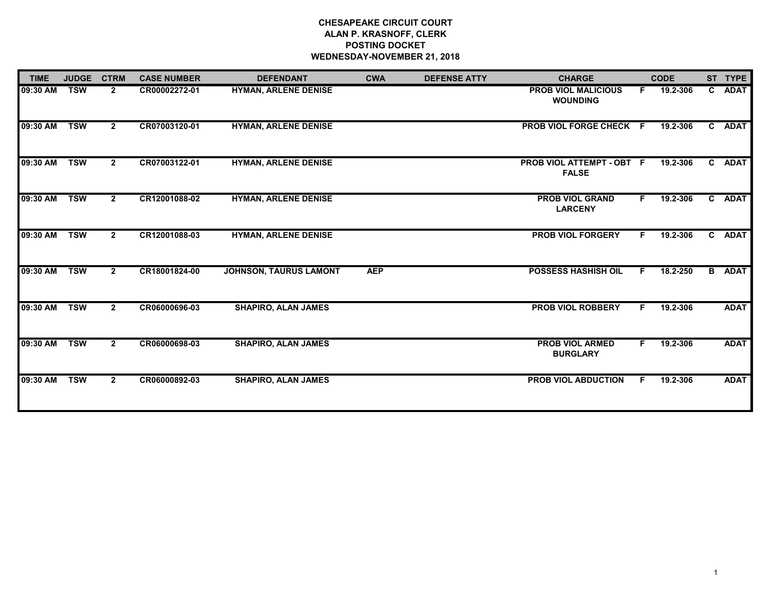# **CHESAPEAKE CIRCUIT COURT ALAN P. KRASNOFF, CLERK POSTING DOCKET WEDNESDAY-NOVEMBER 21, 2018**

| <b>TIME</b> | <b>JUDGE</b> | <b>CTRM</b>    | <b>CASE NUMBER</b> | <b>DEFENDANT</b>              | <b>CWA</b> | <b>DEFENSE ATTY</b> | <b>CHARGE</b>                                 |    | <b>CODE</b> | ST TYPE       |
|-------------|--------------|----------------|--------------------|-------------------------------|------------|---------------------|-----------------------------------------------|----|-------------|---------------|
| 09:30 AM    | <b>TSW</b>   | $\mathbf{2}$   | CR00002272-01      | <b>HYMAN, ARLENE DENISE</b>   |            |                     | <b>PROB VIOL MALICIOUS</b><br><b>WOUNDING</b> | F. | 19.2-306    | C ADAT        |
| 09:30 AM    | <b>TSW</b>   | $2^{\circ}$    | CR07003120-01      | <b>HYMAN, ARLENE DENISE</b>   |            |                     | PROB VIOL FORGE CHECK F                       |    | 19.2-306    | C ADAT        |
| 09:30 AM    | <b>TSW</b>   | $2^{\circ}$    | CR07003122-01      | <b>HYMAN, ARLENE DENISE</b>   |            |                     | PROB VIOL ATTEMPT - OBT F<br><b>FALSE</b>     |    | 19.2-306    | C ADAT        |
| 09:30 AM    | <b>TSW</b>   | $\mathbf{2}$   | CR12001088-02      | <b>HYMAN, ARLENE DENISE</b>   |            |                     | <b>PROB VIOL GRAND</b><br><b>LARCENY</b>      | F. | 19.2-306    | C ADAT        |
| 09:30 AM    | <b>TSW</b>   | $\mathbf{2}$   | CR12001088-03      | <b>HYMAN, ARLENE DENISE</b>   |            |                     | <b>PROB VIOL FORGERY</b>                      | F. | 19.2-306    | C ADAT        |
| 09:30 AM    | <b>TSW</b>   | $\mathbf{2}$   | CR18001824-00      | <b>JOHNSON, TAURUS LAMONT</b> | <b>AEP</b> |                     | POSSESS HASHISH OIL                           | F. | 18.2-250    | <b>B</b> ADAT |
| 09:30 AM    | <b>TSW</b>   | $\overline{2}$ | CR06000696-03      | <b>SHAPIRO, ALAN JAMES</b>    |            |                     | <b>PROB VIOL ROBBERY</b>                      | F. | 19.2-306    | <b>ADAT</b>   |
| 09:30 AM    | <b>TSW</b>   | $\mathbf{2}$   | CR06000698-03      | <b>SHAPIRO, ALAN JAMES</b>    |            |                     | <b>PROB VIOL ARMED</b><br><b>BURGLARY</b>     | F. | 19.2-306    | <b>ADAT</b>   |
| 09:30 AM    | <b>TSW</b>   | $\mathbf{2}$   | CR06000892-03      | <b>SHAPIRO, ALAN JAMES</b>    |            |                     | <b>PROB VIOL ABDUCTION</b>                    | F. | 19.2-306    | <b>ADAT</b>   |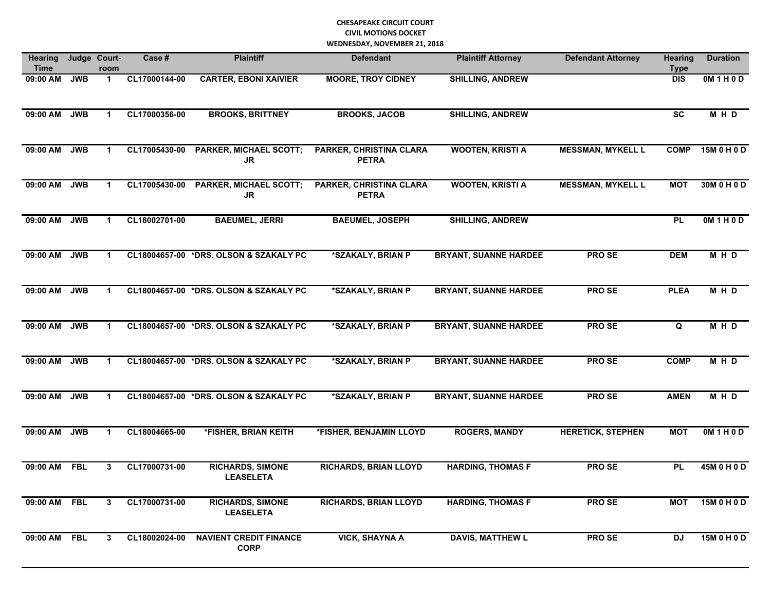| <b>Hearing</b><br><b>Time</b> |            | Judge Court-<br>room | Case #        | <b>Plaintiff</b>                             | <b>Defendant</b>                               | <b>Plaintiff Attorney</b>    | <b>Defendant Attorney</b> | <b>Hearing</b><br><b>Type</b> | <b>Duration</b> |
|-------------------------------|------------|----------------------|---------------|----------------------------------------------|------------------------------------------------|------------------------------|---------------------------|-------------------------------|-----------------|
| 09:00 AM                      | <b>JWB</b> | $\mathbf 1$          | CL17000144-00 | <b>CARTER, EBONI XAIVIER</b>                 | <b>MOORE, TROY CIDNEY</b>                      | <b>SHILLING, ANDREW</b>      |                           | <b>DIS</b>                    | OM1H0D          |
| 09:00 AM                      | <b>JWB</b> | 1                    | CL17000356-00 | <b>BROOKS, BRITTNEY</b>                      | <b>BROOKS, JACOB</b>                           | <b>SHILLING, ANDREW</b>      |                           | $\overline{\text{sc}}$        | M H D           |
| 09:00 AM                      | <b>JWB</b> | 1                    | CL17005430-00 | <b>PARKER, MICHAEL SCOTT;</b><br><b>JR</b>   | <b>PARKER, CHRISTINA CLARA</b><br><b>PETRA</b> | <b>WOOTEN, KRISTI A</b>      | <b>MESSMAN, MYKELL L</b>  | <b>COMP</b>                   | 15M 0 H 0 D     |
| 09:00 AM                      | JWB        | $\mathbf 1$          | CL17005430-00 | <b>PARKER, MICHAEL SCOTT;</b><br><b>JR</b>   | <b>PARKER, CHRISTINA CLARA</b><br><b>PETRA</b> | <b>WOOTEN, KRISTI A</b>      | <b>MESSMAN, MYKELL L</b>  | <b>MOT</b>                    | 30M 0 H 0 D     |
| 09:00 AM                      | <b>JWB</b> | $\mathbf 1$          | CL18002701-00 | <b>BAEUMEL, JERRI</b>                        | <b>BAEUMEL, JOSEPH</b>                         | <b>SHILLING, ANDREW</b>      |                           | <b>PL</b>                     | OM1H0D          |
| 09:00 AM                      | <b>JWB</b> | 1                    |               | CL18004657-00 *DRS. OLSON & SZAKALY PC       | *SZAKALY, BRIAN P                              | <b>BRYANT, SUANNE HARDEE</b> | <b>PROSE</b>              | <b>DEM</b>                    | M H D           |
| 09:00 AM                      | <b>JWB</b> | 1                    |               | CL18004657-00 *DRS. OLSON & SZAKALY PC       | *SZAKALY, BRIAN P                              | <b>BRYANT, SUANNE HARDEE</b> | <b>PROSE</b>              | <b>PLEA</b>                   | M H D           |
| 09:00 AM                      | <b>JWB</b> | 1                    |               | CL18004657-00 *DRS. OLSON & SZAKALY PC       | *SZAKALY, BRIAN P                              | <b>BRYANT, SUANNE HARDEE</b> | <b>PROSE</b>              | Q                             | M H D           |
| 09:00 AM                      | <b>JWB</b> | $\mathbf 1$          |               | CL18004657-00 *DRS. OLSON & SZAKALY PC       | *SZAKALY, BRIAN P                              | <b>BRYANT, SUANNE HARDEE</b> | <b>PROSE</b>              | <b>COMP</b>                   | M H D           |
| 09:00 AM                      | <b>JWB</b> | 1                    |               | CL18004657-00 *DRS. OLSON & SZAKALY PC       | *SZAKALY, BRIAN P                              | <b>BRYANT, SUANNE HARDEE</b> | <b>PROSE</b>              | <b>AMEN</b>                   | MHD             |
| 09:00 AM                      | <b>JWB</b> | 1                    | CL18004665-00 | *FISHER, BRIAN KEITH                         | *FISHER, BENJAMIN LLOYD                        | <b>ROGERS, MANDY</b>         | <b>HERETICK, STEPHEN</b>  | <b>MOT</b>                    | OM1H0D          |
| 09:00 AM                      | <b>FBL</b> | 3                    | CL17000731-00 | <b>RICHARDS, SIMONE</b><br><b>LEASELETA</b>  | <b>RICHARDS, BRIAN LLOYD</b>                   | <b>HARDING, THOMAS F</b>     | <b>PROSE</b>              | <b>PL</b>                     | 45M 0 H 0 D     |
| 09:00 AM FBL                  |            | 3                    | CL17000731-00 | <b>RICHARDS, SIMONE</b><br><b>LEASELETA</b>  | <b>RICHARDS, BRIAN LLOYD</b>                   | <b>HARDING, THOMAS F</b>     | <b>PROSE</b>              | <b>MOT</b>                    | 15M 0 H 0 D     |
| 09:00 AM FBL                  |            | 3                    | CL18002024-00 | <b>NAVIENT CREDIT FINANCE</b><br><b>CORP</b> | <b>VICK, SHAYNA A</b>                          | <b>DAVIS, MATTHEW L</b>      | <b>PROSE</b>              | <b>DJ</b>                     | 15M 0 H 0 D     |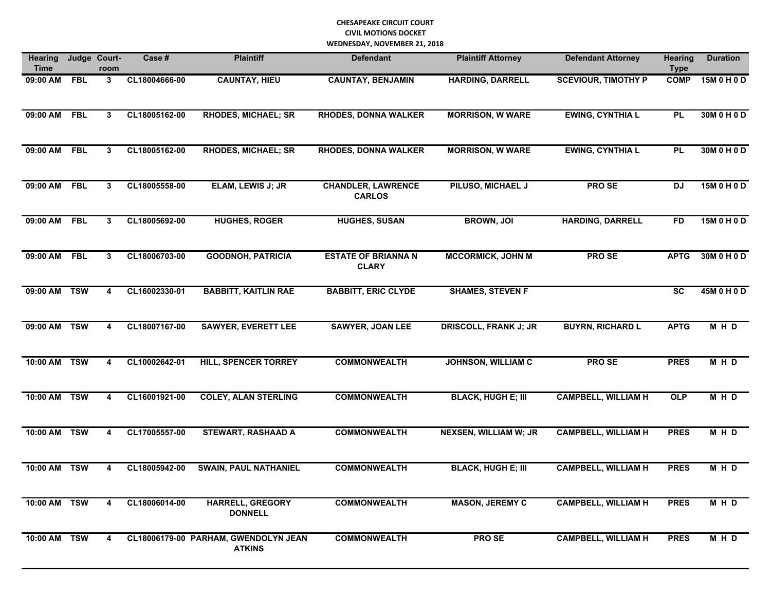| <b>Hearing</b><br><b>Time</b> |            | Judge Court-<br>room | Case #        | <b>Plaintiff</b>                                      | <b>Defendant</b>                           | <b>Plaintiff Attorney</b>    | <b>Defendant Attorney</b>  | <b>Hearing</b><br><b>Type</b> | <b>Duration</b> |
|-------------------------------|------------|----------------------|---------------|-------------------------------------------------------|--------------------------------------------|------------------------------|----------------------------|-------------------------------|-----------------|
| 09:00 AM FBL                  |            | 3                    | CL18004666-00 | <b>CAUNTAY, HIEU</b>                                  | <b>CAUNTAY, BENJAMIN</b>                   | <b>HARDING, DARRELL</b>      | <b>SCEVIOUR, TIMOTHY P</b> | <b>COMP</b>                   | 15M 0 H 0 D     |
| 09:00 AM                      | <b>FBL</b> | 3                    | CL18005162-00 | <b>RHODES, MICHAEL; SR</b>                            | <b>RHODES, DONNA WALKER</b>                | <b>MORRISON, W WARE</b>      | <b>EWING, CYNTHIA L</b>    | PL                            | 30M 0 H 0 D     |
| 09:00 AM                      | <b>FBL</b> | 3                    | CL18005162-00 | <b>RHODES, MICHAEL; SR</b>                            | <b>RHODES, DONNA WALKER</b>                | <b>MORRISON, W WARE</b>      | <b>EWING, CYNTHIA L</b>    | <b>PL</b>                     | 30M 0 H 0 D     |
| 09:00 AM                      | <b>FBL</b> | 3                    | CL18005558-00 | ELAM, LEWIS J; JR                                     | <b>CHANDLER, LAWRENCE</b><br><b>CARLOS</b> | PILUSO, MICHAEL J            | <b>PROSE</b>               | <b>DJ</b>                     | 15M 0 H 0 D     |
| 09:00 AM                      | <b>FBL</b> | 3                    | CL18005692-00 | <b>HUGHES, ROGER</b>                                  | <b>HUGHES, SUSAN</b>                       | <b>BROWN, JOI</b>            | <b>HARDING, DARRELL</b>    | <b>FD</b>                     | 15M 0 H 0 D     |
| 09:00 AM                      | <b>FBL</b> | 3                    | CL18006703-00 | <b>GOODNOH, PATRICIA</b>                              | <b>ESTATE OF BRIANNA N</b><br><b>CLARY</b> | <b>MCCORMICK, JOHN M</b>     | <b>PROSE</b>               | <b>APTG</b>                   | 30M 0 H 0 D     |
| 09:00 AM                      | <b>TSW</b> | 4                    | CL16002330-01 | <b>BABBITT, KAITLIN RAE</b>                           | <b>BABBITT, ERIC CLYDE</b>                 | <b>SHAMES, STEVEN F</b>      |                            | $\overline{\text{sc}}$        | 45M 0 H 0 D     |
| 09:00 AM                      | <b>TSW</b> | 4                    | CL18007167-00 | <b>SAWYER, EVERETT LEE</b>                            | <b>SAWYER, JOAN LEE</b>                    | <b>DRISCOLL, FRANK J; JR</b> | <b>BUYRN, RICHARD L</b>    | <b>APTG</b>                   | M H D           |
| 10:00 AM                      | <b>TSW</b> | 4                    | CL10002642-01 | <b>HILL, SPENCER TORREY</b>                           | <b>COMMONWEALTH</b>                        | <b>JOHNSON, WILLIAM C</b>    | <b>PROSE</b>               | <b>PRES</b>                   | M H D           |
| 10:00 AM TSW                  |            | 4                    | CL16001921-00 | <b>COLEY, ALAN STERLING</b>                           | <b>COMMONWEALTH</b>                        | <b>BLACK, HUGH E; III</b>    | <b>CAMPBELL, WILLIAM H</b> | OLP                           | MHD             |
| 10:00 AM                      | <b>TSW</b> | 4                    | CL17005557-00 | <b>STEWART, RASHAAD A</b>                             | <b>COMMONWEALTH</b>                        | <b>NEXSEN, WILLIAM W; JR</b> | <b>CAMPBELL, WILLIAM H</b> | <b>PRES</b>                   | MHD             |
| 10:00 AM                      | <b>TSW</b> | 4                    | CL18005942-00 | <b>SWAIN, PAUL NATHANIEL</b>                          | <b>COMMONWEALTH</b>                        | <b>BLACK, HUGH E; III</b>    | <b>CAMPBELL, WILLIAM H</b> | <b>PRES</b>                   | <b>MHD</b>      |
| 10:00 AM TSW                  |            | 4                    | CL18006014-00 | <b>HARRELL, GREGORY</b><br><b>DONNELL</b>             | <b>COMMONWEALTH</b>                        | <b>MASON, JEREMY C</b>       | <b>CAMPBELL, WILLIAM H</b> | <b>PRES</b>                   | MHD             |
| 10:00 AM TSW                  |            | 4                    |               | CL18006179-00 PARHAM, GWENDOLYN JEAN<br><b>ATKINS</b> | <b>COMMONWEALTH</b>                        | PRO SE                       | <b>CAMPBELL, WILLIAM H</b> | <b>PRES</b>                   | MHD             |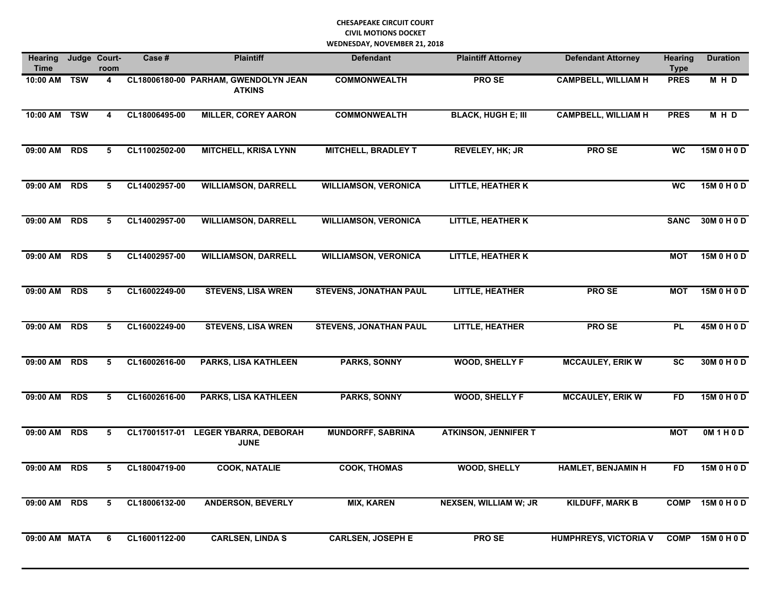| <b>Hearing</b><br><b>Time</b> |            | Judge Court-<br>room | Case #        | <b>Plaintiff</b>                                      | <b>Defendant</b>              | <b>Plaintiff Attorney</b>    | <b>Defendant Attorney</b>    | <b>Hearing</b><br><b>Type</b> | <b>Duration</b> |
|-------------------------------|------------|----------------------|---------------|-------------------------------------------------------|-------------------------------|------------------------------|------------------------------|-------------------------------|-----------------|
| 10:00 AM                      | <b>TSW</b> | 4                    |               | CL18006180-00 PARHAM, GWENDOLYN JEAN<br><b>ATKINS</b> | <b>COMMONWEALTH</b>           | <b>PROSE</b>                 | <b>CAMPBELL, WILLIAM H</b>   | <b>PRES</b>                   | MHD             |
| 10:00 AM                      | <b>TSW</b> | 4                    | CL18006495-00 | <b>MILLER, COREY AARON</b>                            | <b>COMMONWEALTH</b>           | <b>BLACK, HUGH E; III</b>    | <b>CAMPBELL, WILLIAM H</b>   | <b>PRES</b>                   | M H D           |
| 09:00 AM                      | <b>RDS</b> | 5                    | CL11002502-00 | <b>MITCHELL, KRISA LYNN</b>                           | <b>MITCHELL, BRADLEY T</b>    | <b>REVELEY, HK; JR</b>       | <b>PROSE</b>                 | <b>WC</b>                     | 15M 0 H 0 D     |
| 09:00 AM                      | <b>RDS</b> | 5                    | CL14002957-00 | <b>WILLIAMSON, DARRELL</b>                            | <b>WILLIAMSON, VERONICA</b>   | <b>LITTLE, HEATHER K</b>     |                              | <b>WC</b>                     | 15M 0 H 0 D     |
| 09:00 AM                      | <b>RDS</b> | 5                    | CL14002957-00 | <b>WILLIAMSON, DARRELL</b>                            | <b>WILLIAMSON, VERONICA</b>   | <b>LITTLE, HEATHER K</b>     |                              | <b>SANC</b>                   | 30M 0 H 0 D     |
| 09:00 AM                      | <b>RDS</b> | 5                    | CL14002957-00 | <b>WILLIAMSON, DARRELL</b>                            | <b>WILLIAMSON, VERONICA</b>   | <b>LITTLE, HEATHER K</b>     |                              | <b>MOT</b>                    | 15M 0 H 0 D     |
| 09:00 AM                      | <b>RDS</b> | 5                    | CL16002249-00 | <b>STEVENS, LISA WREN</b>                             | <b>STEVENS, JONATHAN PAUL</b> | <b>LITTLE, HEATHER</b>       | <b>PROSE</b>                 | <b>MOT</b>                    | 15M 0 H 0 D     |
| 09:00 AM                      | <b>RDS</b> | 5                    | CL16002249-00 | <b>STEVENS, LISA WREN</b>                             | <b>STEVENS, JONATHAN PAUL</b> | <b>LITTLE, HEATHER</b>       | <b>PROSE</b>                 | <b>PL</b>                     | 45M 0 H 0 D     |
| 09:00 AM                      | <b>RDS</b> | 5                    | CL16002616-00 | <b>PARKS, LISA KATHLEEN</b>                           | <b>PARKS, SONNY</b>           | <b>WOOD, SHELLY F</b>        | <b>MCCAULEY, ERIK W</b>      | <b>SC</b>                     | 30M 0 H 0 D     |
| 09:00 AM                      | <b>RDS</b> | 5                    | CL16002616-00 | <b>PARKS, LISA KATHLEEN</b>                           | <b>PARKS, SONNY</b>           | <b>WOOD, SHELLY F</b>        | <b>MCCAULEY, ERIK W</b>      | <b>FD</b>                     | 15M 0 H 0 D     |
| 09:00 AM                      | <b>RDS</b> | 5                    | CL17001517-01 | <b>LEGER YBARRA, DEBORAH</b><br><b>JUNE</b>           | <b>MUNDORFF, SABRINA</b>      | <b>ATKINSON, JENNIFER T</b>  |                              | <b>MOT</b>                    | OM1H0D          |
| 09:00 AM                      | <b>RDS</b> | 5                    | CL18004719-00 | <b>COOK, NATALIE</b>                                  | <b>COOK, THOMAS</b>           | <b>WOOD, SHELLY</b>          | <b>HAMLET, BENJAMIN H</b>    | <b>FD</b>                     | 15M 0 H 0 D     |
| 09:00 AM                      | <b>RDS</b> | 5                    | CL18006132-00 | <b>ANDERSON, BEVERLY</b>                              | <b>MIX, KAREN</b>             | <b>NEXSEN, WILLIAM W; JR</b> | <b>KILDUFF, MARK B</b>       | <b>COMP</b>                   | 15M 0 H 0 D     |
| 09:00 AM MATA                 |            | 6                    | CL16001122-00 | <b>CARLSEN, LINDA S</b>                               | <b>CARLSEN, JOSEPH E</b>      | <b>PROSE</b>                 | <b>HUMPHREYS, VICTORIA V</b> | <b>COMP</b>                   | 15M 0 H 0 D     |